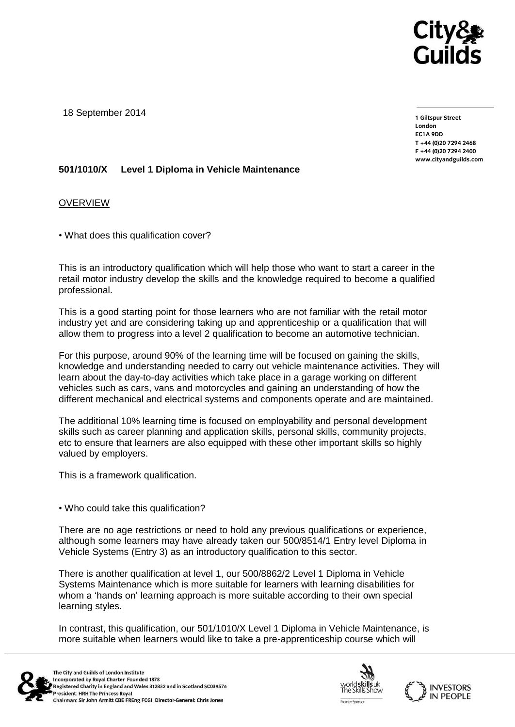

18 September 2014

**1 Giltspur Street EC1A 9DD**  $T + 44 (0)20 7294 2468$ **T +44 (0)20 7294 246[8](http://www.cityandguilds.com/) F +44 (0)20 7294 2400 [www.cityandguilds.com](http://www.cityandguilds.com/)**

## **501/1010/X Level 1 Diploma in Vehicle Maintenance**

OVERVIEW

• What does this qualification cover?

This is an introductory qualification which will help those who want to start a career in the retail motor industry develop the skills and the knowledge required to become a qualified professional.

This is a good starting point for those learners who are not familiar with the retail motor industry yet and are considering taking up and apprenticeship or a qualification that will allow them to progress into a level 2 qualification to become an automotive technician.

For this purpose, around 90% of the learning time will be focused on gaining the skills, knowledge and understanding needed to carry out vehicle maintenance activities. They will learn about the day-to-day activities which take place in a garage working on different vehicles such as cars, vans and motorcycles and gaining an understanding of how the different mechanical and electrical systems and components operate and are maintained.

The additional 10% learning time is focused on employability and personal development skills such as career planning and application skills, personal skills, community projects, etc to ensure that learners are also equipped with these other important skills so highly valued by employers.

This is a framework qualification.

• Who could take this qualification?

There are no age restrictions or need to hold any previous qualifications or experience, although some learners may have already taken our 500/8514/1 Entry level Diploma in Vehicle Systems (Entry 3) as an introductory qualification to this sector.

There is another qualification at level 1, our 500/8862/2 Level 1 Diploma in Vehicle Systems Maintenance which is more suitable for learners with learning disabilities for whom a 'hands on' learning approach is more suitable according to their own special learning styles.

In contrast, this qualification, our 501/1010/X Level 1 Diploma in Vehicle Maintenance, is more suitable when learners would like to take a pre-apprenticeship course which will